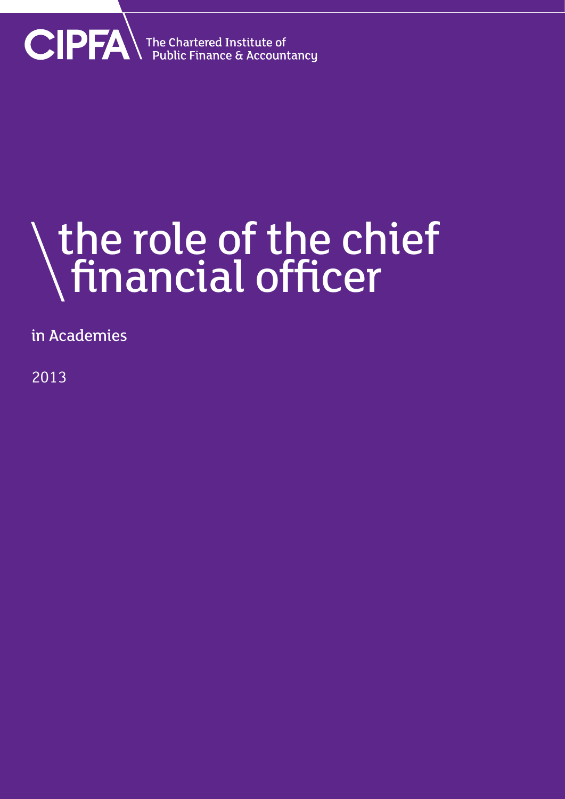

### the role of the chief financial officer

in Academies

2013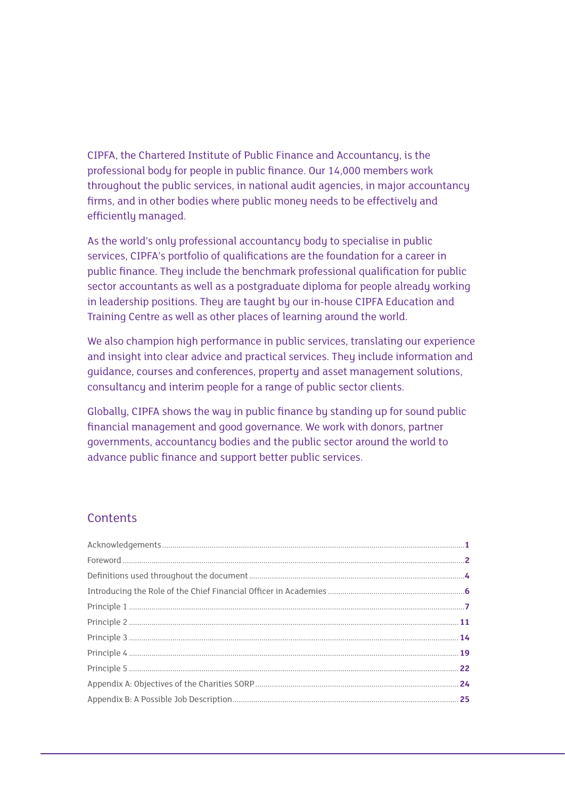CIPFA, the Chartered Institute of Public Finance and Accountancy, is the professional body for people in public finance. Our 14,000 members work throughout the public services, in national audit agencies, in major accountancy firms, and in other bodies where public money needs to be effectively and efficiently managed.

As the world's only professional accountancy body to specialise in public services, CIPFA's portfolio of qualifications are the foundation for a career in public finance. They include the benchmark professional qualification for public sector accountants as well as a postgraduate diploma for people already working in leadership positions. They are taught by our in-house CIPFA Education and Training Centre as well as other places of learning around the world.

We also champion high performance in public services, translating our experience and insight into clear advice and practical services. They include information and guidance, courses and conferences, property and asset management solutions, consultancy and interim people for a range of public sector clients.

Globally, CIPFA shows the way in public finance by standing up for sound public financial management and good governance. We work with donors, partner governments, accountancy bodies and the public sector around the world to advance public finance and support better public services.

#### **Contents**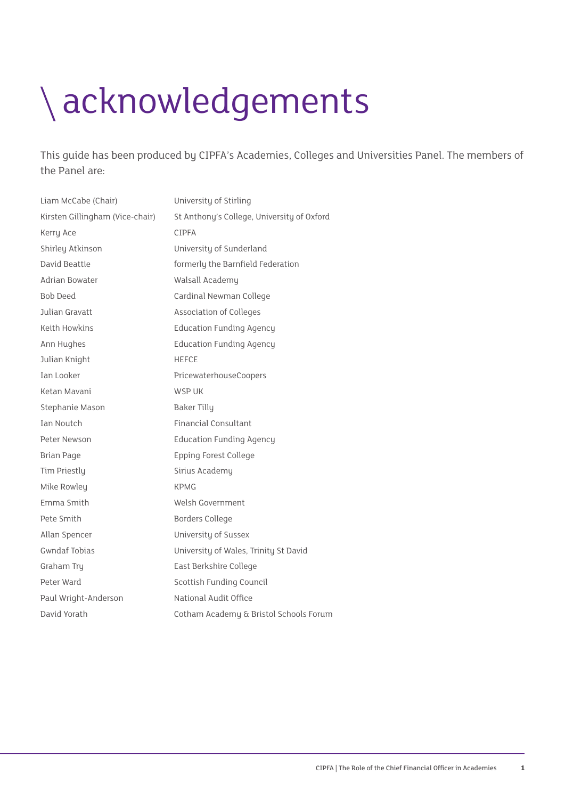### acknowledgements

This guide has been produced by CIPFA's Academies, Colleges and Universities Panel. The members of the Panel are:

| Liam McCabe (Chair)             | University of Stirling                     |
|---------------------------------|--------------------------------------------|
| Kirsten Gillingham (Vice-chair) | St Anthony's College, University of Oxford |
| Kerry Ace                       | <b>CIPFA</b>                               |
| Shirley Atkinson                | University of Sunderland                   |
| David Beattie                   | formerly the Barnfield Federation          |
| Adrian Bowater                  | Walsall Academy                            |
| <b>Bob Deed</b>                 | Cardinal Newman College                    |
| Julian Gravatt                  | Association of Colleges                    |
| Keith Howkins                   | <b>Education Funding Agency</b>            |
| Ann Hughes                      | <b>Education Funding Agency</b>            |
| Julian Knight                   | <b>HEFCE</b>                               |
| Ian Looker                      | PricewaterhouseCoopers                     |
| Ketan Mavani                    | WSP UK                                     |
| Stephanie Mason                 | <b>Baker Tilly</b>                         |
| Ian Noutch                      | <b>Financial Consultant</b>                |
| Peter Newson                    | <b>Education Funding Agency</b>            |
| <b>Brian Page</b>               | Epping Forest College                      |
| Tim Priestly                    | Sirius Academy                             |
| Mike Rowley                     | <b>KPMG</b>                                |
| Emma Smith                      | Welsh Government                           |
| Pete Smith                      | <b>Borders College</b>                     |
| Allan Spencer                   | University of Sussex                       |
| <b>Gwndaf Tobias</b>            | University of Wales, Trinity St David      |
| Graham Tru                      | East Berkshire College                     |
| Peter Ward                      | Scottish Funding Council                   |
| Paul Wright-Anderson            | National Audit Office                      |
| David Yorath                    | Cotham Academy & Bristol Schools Forum     |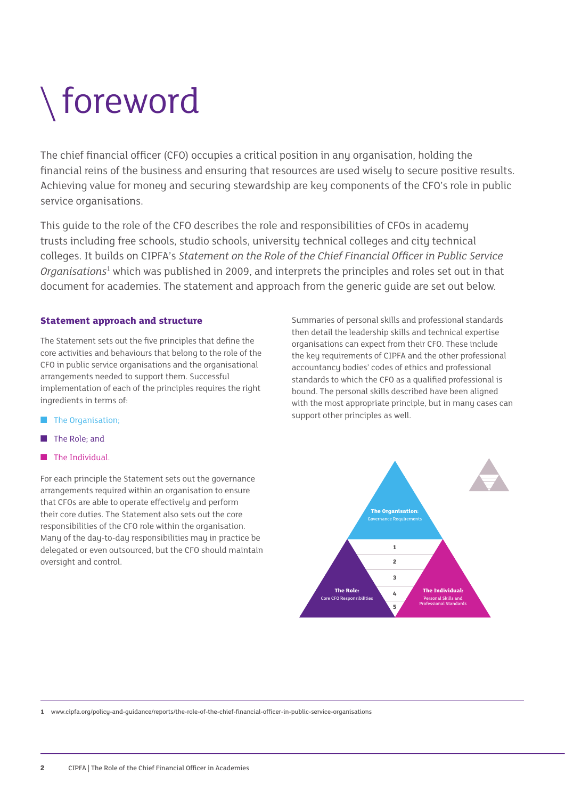### foreword

The chief financial officer (CFO) occupies a critical position in any organisation, holding the financial reins of the business and ensuring that resources are used wisely to secure positive results. Achieving value for money and securing stewardship are key components of the CFO's role in public service organisations.

This guide to the role of the CFO describes the role and responsibilities of CFOs in academy trusts including free schools, studio schools, university technical colleges and city technical colleges. It builds on CIPFA's *Statement on the Role of the Chief Financial Officer in Public Service*  Organisations<sup>1</sup> which was published in 2009, and interprets the principles and roles set out in that document for academies. The statement and approach from the generic guide are set out below.

#### **Statement approach and structure**

The Statement sets out the five principles that define the core activities and behaviours that belong to the role of the CFO in public service organisations and the organisational arrangements needed to support them. Successful implementation of each of the principles requires the right ingredients in terms of:

- The Organisation;
- The Role: and
- The Individual

For each principle the Statement sets out the governance arrangements required within an organisation to ensure that CFOs are able to operate effectively and perform their core duties. The Statement also sets out the core responsibilities of the CFO role within the organisation. Many of the day-to-day responsibilities may in practice be delegated or even outsourced, but the CFO should maintain oversight and control.

Summaries of personal skills and professional standards then detail the leadership skills and technical expertise organisations can expect from their CFO. These include the key requirements of CIPFA and the other professional accountancy bodies' codes of ethics and professional standards to which the CFO as a qualified professional is bound. The personal skills described have been aligned with the most appropriate principle, but in many cases can support other principles as well.



**1** www.cipfa.org/policy-and-guidance/reports/the-role-of-the-chief-financial-officer-in-public-service-organisations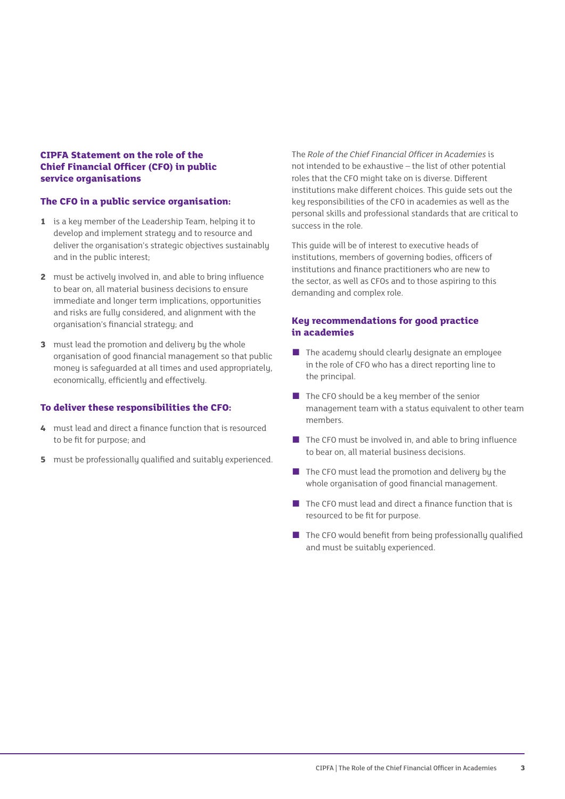#### **CIPFA Statement on the role of the Chief Financial Officer (CFO) in public service organisations**

#### **The CFO in a public service organisation:**

- **1** is a key member of the Leadership Team, helping it to develop and implement strategy and to resource and deliver the organisation's strategic objectives sustainably and in the public interest;
- **2** must be actively involved in, and able to bring influence to bear on, all material business decisions to ensure immediate and longer term implications, opportunities and risks are fully considered, and alignment with the organisation's financial strategy; and
- **3** must lead the promotion and delivery by the whole organisation of good financial management so that public money is safeguarded at all times and used appropriately, economically, efficiently and effectively.

#### **To deliver these responsibilities the CFO:**

- **4** must lead and direct a finance function that is resourced to be fit for purpose; and
- **5** must be professionally qualified and suitably experienced.

The *Role of the Chief Financial Officer in Academies* is not intended to be exhaustive – the list of other potential roles that the CFO might take on is diverse. Different institutions make different choices. This guide sets out the key responsibilities of the CFO in academies as well as the personal skills and professional standards that are critical to success in the role.

This guide will be of interest to executive heads of institutions, members of governing bodies, officers of institutions and finance practitioners who are new to the sector, as well as CFOs and to those aspiring to this demanding and complex role.

#### **Key recommendations for good practice in academies**

- The academy should clearly designate an employee in the role of CFO who has a direct reporting line to the principal.
- The CFO should be a key member of the senior management team with a status equivalent to other team members.
- The CFO must be involved in, and able to bring influence to bear on, all material business decisions.
- The CFO must lead the promotion and delivery by the whole organisation of good financial management.
- The CFO must lead and direct a finance function that is resourced to be fit for purpose.
- The CFO would benefit from being professionally qualified and must be suitably experienced.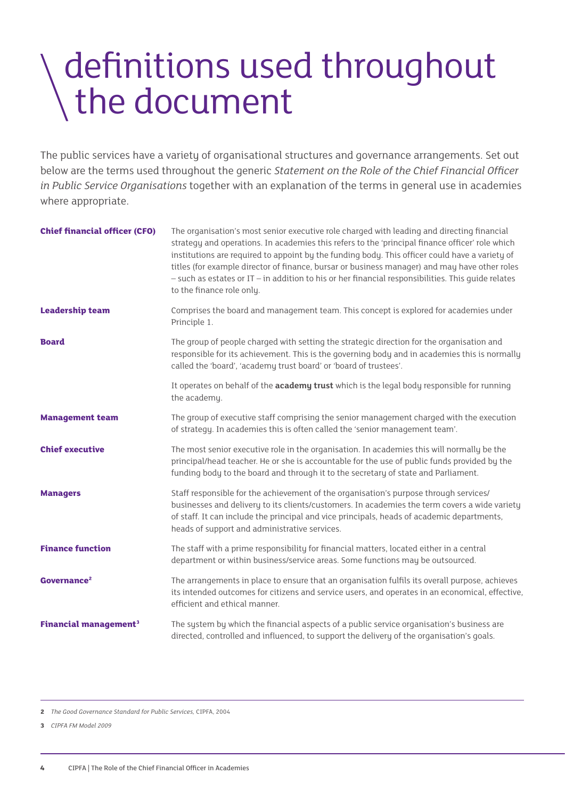### definitions used throughout the document

The public services have a variety of organisational structures and governance arrangements. Set out below are the terms used throughout the generic *Statement on the Role of the Chief Financial Officer in Public Service Organisations* together with an explanation of the terms in general use in academies where appropriate.

| <b>Chief financial officer (CFO)</b>    | The organisation's most senior executive role charged with leading and directing financial<br>strategy and operations. In academies this refers to the 'principal finance officer' role which<br>institutions are required to appoint by the funding body. This officer could have a variety of<br>titles (for example director of finance, bursar or business manager) and may have other roles<br>$-$ such as estates or IT $-$ in addition to his or her financial responsibilities. This guide relates<br>to the finance role only. |
|-----------------------------------------|-----------------------------------------------------------------------------------------------------------------------------------------------------------------------------------------------------------------------------------------------------------------------------------------------------------------------------------------------------------------------------------------------------------------------------------------------------------------------------------------------------------------------------------------|
| <b>Leadership team</b>                  | Comprises the board and management team. This concept is explored for academies under<br>Principle 1.                                                                                                                                                                                                                                                                                                                                                                                                                                   |
| <b>Board</b>                            | The group of people charged with setting the strategic direction for the organisation and<br>responsible for its achievement. This is the governing body and in academies this is normally<br>called the 'board', 'academy trust board' or 'board of trustees'.                                                                                                                                                                                                                                                                         |
|                                         | It operates on behalf of the academy trust which is the legal body responsible for running<br>the academy.                                                                                                                                                                                                                                                                                                                                                                                                                              |
| <b>Management team</b>                  | The group of executive staff comprising the senior management charged with the execution<br>of strategy. In academies this is often called the 'senior management team'.                                                                                                                                                                                                                                                                                                                                                                |
| <b>Chief executive</b>                  | The most senior executive role in the organisation. In academies this will normally be the<br>principal/head teacher. He or she is accountable for the use of public funds provided by the<br>funding body to the board and through it to the secretary of state and Parliament.                                                                                                                                                                                                                                                        |
| <b>Managers</b>                         | Staff responsible for the achievement of the organisation's purpose through services/<br>businesses and delivery to its clients/customers. In academies the term covers a wide variety<br>of staff. It can include the principal and vice principals, heads of academic departments,<br>heads of support and administrative services.                                                                                                                                                                                                   |
| <b>Finance function</b>                 | The staff with a prime responsibility for financial matters, located either in a central<br>department or within business/service areas. Some functions may be outsourced.                                                                                                                                                                                                                                                                                                                                                              |
| Governance <sup>2</sup>                 | The arrangements in place to ensure that an organisation fulfils its overall purpose, achieves<br>its intended outcomes for citizens and service users, and operates in an economical, effective,<br>efficient and ethical manner.                                                                                                                                                                                                                                                                                                      |
| <b>Financial management<sup>3</sup></b> | The system by which the financial aspects of a public service organisation's business are<br>directed, controlled and influenced, to support the delivery of the organisation's goals.                                                                                                                                                                                                                                                                                                                                                  |

**<sup>2</sup>** *The Good Governance Standard for Public Services,* CIPFA, 2004

**<sup>3</sup>** *CIPFA FM Model 2009*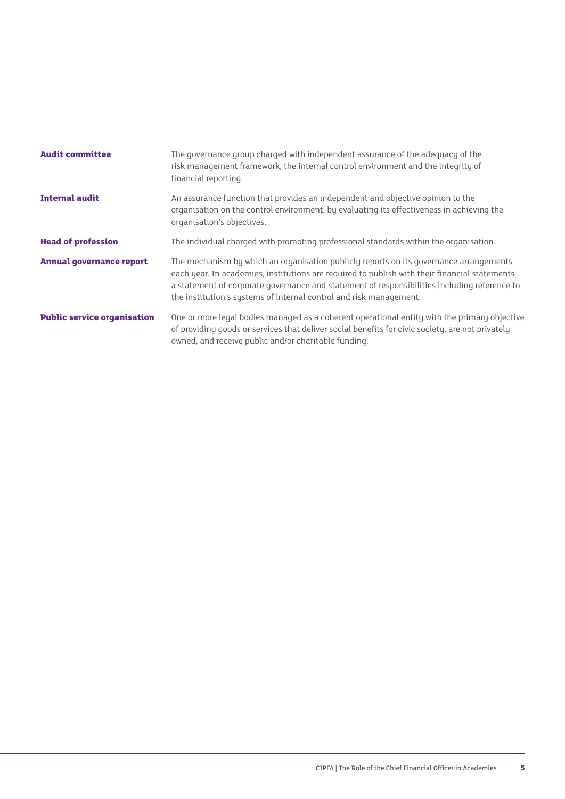| <b>Audit committee</b>             | The governance group charged with independent assurance of the adequacy of the<br>risk management framework, the internal control environment and the integrity of<br>financial reporting.                                                                                                                                                                    |
|------------------------------------|---------------------------------------------------------------------------------------------------------------------------------------------------------------------------------------------------------------------------------------------------------------------------------------------------------------------------------------------------------------|
| <b>Internal audit</b>              | An assurance function that provides an independent and objective opinion to the<br>organisation on the control environment, by evaluating its effectiveness in achieving the<br>organisation's objectives.                                                                                                                                                    |
| <b>Head of profession</b>          | The individual charged with promoting professional standards within the organisation.                                                                                                                                                                                                                                                                         |
| <b>Annual governance report</b>    | The mechanism by which an organisation publicly reports on its governance arrangements<br>each year. In academies, institutions are required to publish with their financial statements<br>a statement of corporate governance and statement of responsibilities including reference to<br>the institution's systems of internal control and risk management. |
| <b>Public service organisation</b> | One or more legal bodies managed as a coherent operational entity with the primary objective<br>of providing goods or services that deliver social benefits for civic society, are not privately<br>owned, and receive public and/or charitable funding.                                                                                                      |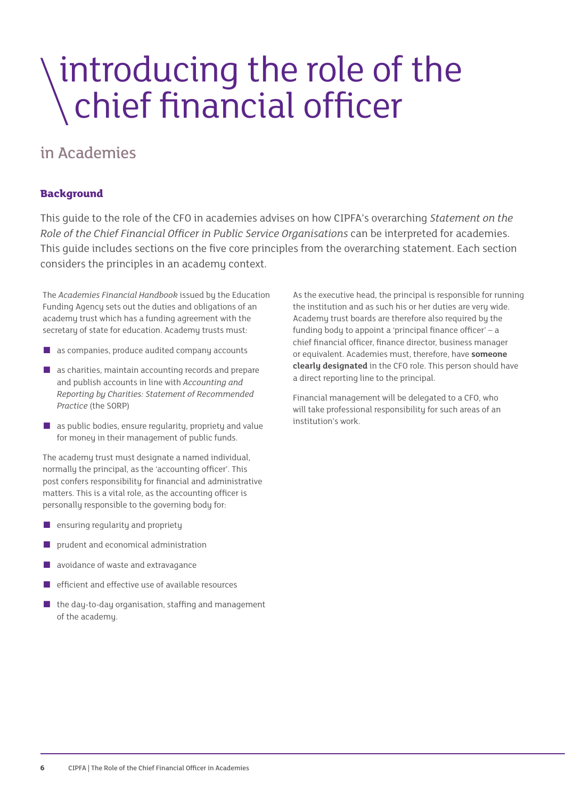# \introducing the role of the<br>\chief financial officer

#### in Academies

#### **Background**

This guide to the role of the CFO in academies advises on how CIPFA's overarching *Statement on the Role of the Chief Financial Officer in Public Service Organisations* can be interpreted for academies. This guide includes sections on the five core principles from the overarching statement. Each section considers the principles in an academy context.

The *Academies Financial Handbook* issued by the Education Funding Agency sets out the duties and obligations of an academy trust which has a funding agreement with the secretary of state for education. Academy trusts must:

- as companies, produce audited company accounts
- as charities, maintain accounting records and prepare and publish accounts in line with *Accounting and Reporting by Charities: Statement of Recommended Practice* (the SORP)
- $\blacksquare$  as public bodies, ensure regularity, propriety and value for money in their management of public funds.

The academy trust must designate a named individual, normally the principal, as the 'accounting officer'. This post confers responsibility for financial and administrative matters. This is a vital role, as the accounting officer is personally responsible to the governing body for:

- ensuring regularity and propriety
- prudent and economical administration
- avoidance of waste and extravagance
- efficient and effective use of available resources
- the day-to-day organisation, staffing and management of the academy.

As the executive head, the principal is responsible for running the institution and as such his or her duties are very wide. Academy trust boards are therefore also required by the funding body to appoint a 'principal finance officer' – a chief financial officer, finance director, business manager or equivalent. Academies must, therefore, have **someone clearly designated** in the CFO role. This person should have a direct reporting line to the principal.

Financial management will be delegated to a CFO, who will take professional responsibility for such areas of an institution's work.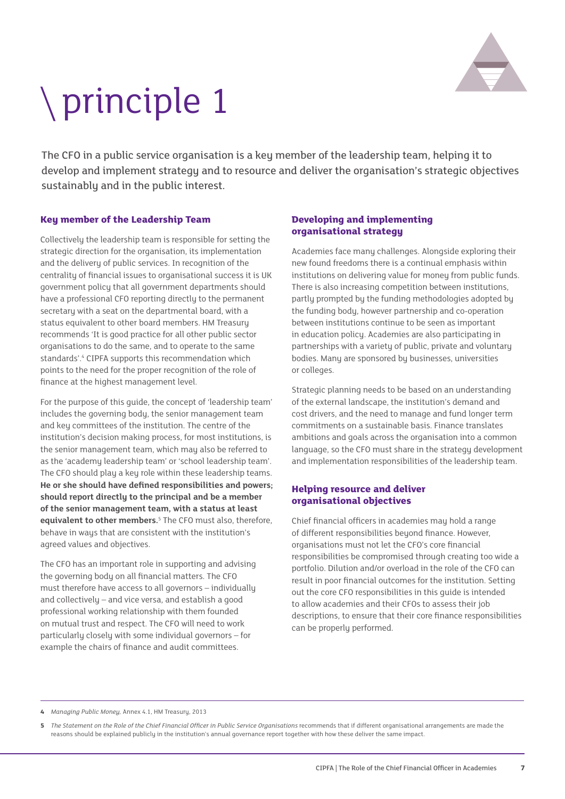

## principle 1

The CFO in a public service organisation is a key member of the leadership team, helping it to develop and implement strategy and to resource and deliver the organisation's strategic objectives sustainably and in the public interest.

#### **Key member of the Leadership Team**

Collectively the leadership team is responsible for setting the strategic direction for the organisation, its implementation and the delivery of public services. In recognition of the centrality of financial issues to organisational success it is UK government policy that all government departments should have a professional CFO reporting directly to the permanent secretary with a seat on the departmental board, with a status equivalent to other board members. HM Treasury recommends 'It is good practice for all other public sector organisations to do the same, and to operate to the same standards'.<sup>4</sup> CIPFA supports this recommendation which points to the need for the proper recognition of the role of finance at the highest management level.

For the purpose of this guide, the concept of 'leadership team' includes the governing body, the senior management team and key committees of the institution. The centre of the institution's decision making process, for most institutions, is the senior management team, which may also be referred to as the 'academy leadership team' or 'school leadership team'. The CFO should play a key role within these leadership teams. **He or she should have defined responsibilities and powers; should report directly to the principal and be a member of the senior management team, with a status at least equivalent to other members.**<sup>5</sup> The CFO must also, therefore, behave in ways that are consistent with the institution's agreed values and objectives.

The CFO has an important role in supporting and advising the governing body on all financial matters. The CFO must therefore have access to all governors – individually and collectively – and vice versa, and establish a good professional working relationship with them founded on mutual trust and respect. The CFO will need to work particularly closely with some individual governors – for example the chairs of finance and audit committees.

#### **Developing and implementing organisational strategy**

Academies face many challenges. Alongside exploring their new found freedoms there is a continual emphasis within institutions on delivering value for money from public funds. There is also increasing competition between institutions, partly prompted by the funding methodologies adopted by the funding body, however partnership and co-operation between institutions continue to be seen as important in education policy. Academies are also participating in partnerships with a variety of public, private and voluntary bodies. Many are sponsored by businesses, universities or colleges.

Strategic planning needs to be based on an understanding of the external landscape, the institution's demand and cost drivers, and the need to manage and fund longer term commitments on a sustainable basis. Finance translates ambitions and goals across the organisation into a common language, so the CFO must share in the strategy development and implementation responsibilities of the leadership team.

#### **Helping resource and deliver organisational objectives**

Chief financial officers in academies may hold a range of different responsibilities beyond finance. However, organisations must not let the CFO's core financial responsibilities be compromised through creating too wide a portfolio. Dilution and/or overload in the role of the CFO can result in poor financial outcomes for the institution. Setting out the core CFO responsibilities in this guide is intended to allow academies and their CFOs to assess their job descriptions, to ensure that their core finance responsibilities can be properly performed.

**4** *Managing Public Money,* Annex 4.1, HM Treasury, 2013

**<sup>5</sup>** *The Statement on the Role of the Chief Financial Officer in Public Service Organisations* recommends that if different organisational arrangements are made the reasons should be explained publicly in the institution's annual governance report together with how these deliver the same impact.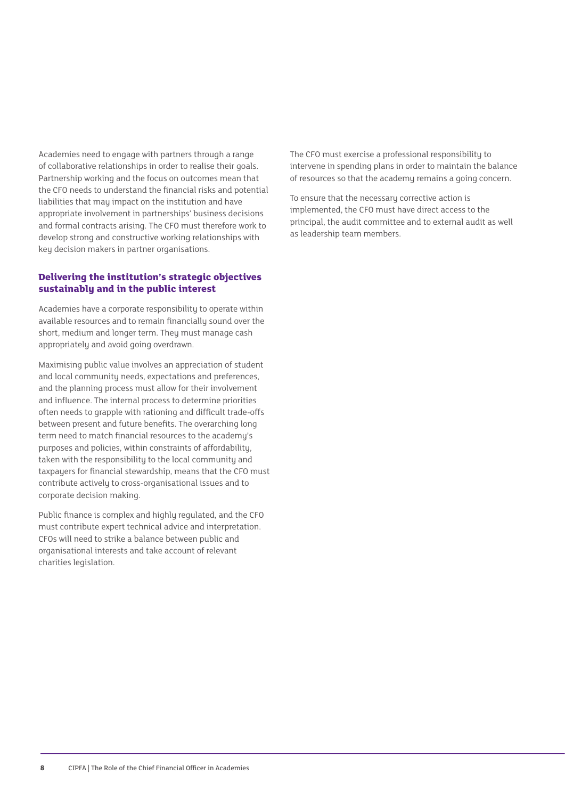Academies need to engage with partners through a range of collaborative relationships in order to realise their goals. Partnership working and the focus on outcomes mean that the CFO needs to understand the financial risks and potential liabilities that may impact on the institution and have appropriate involvement in partnerships' business decisions and formal contracts arising. The CFO must therefore work to develop strong and constructive working relationships with key decision makers in partner organisations.

#### **Delivering the institution's strategic objectives sustainably and in the public interest**

Academies have a corporate responsibility to operate within available resources and to remain financially sound over the short, medium and longer term. They must manage cash appropriately and avoid going overdrawn.

Maximising public value involves an appreciation of student and local community needs, expectations and preferences, and the planning process must allow for their involvement and influence. The internal process to determine priorities often needs to grapple with rationing and difficult trade-offs between present and future benefits. The overarching long term need to match financial resources to the academy's purposes and policies, within constraints of affordability, taken with the responsibility to the local community and taxpayers for financial stewardship, means that the CFO must contribute actively to cross-organisational issues and to corporate decision making.

Public finance is complex and highly regulated, and the CFO must contribute expert technical advice and interpretation. CFOs will need to strike a balance between public and organisational interests and take account of relevant charities legislation.

The CFO must exercise a professional responsibility to intervene in spending plans in order to maintain the balance of resources so that the academy remains a going concern.

To ensure that the necessary corrective action is implemented, the CFO must have direct access to the principal, the audit committee and to external audit as well as leadership team members.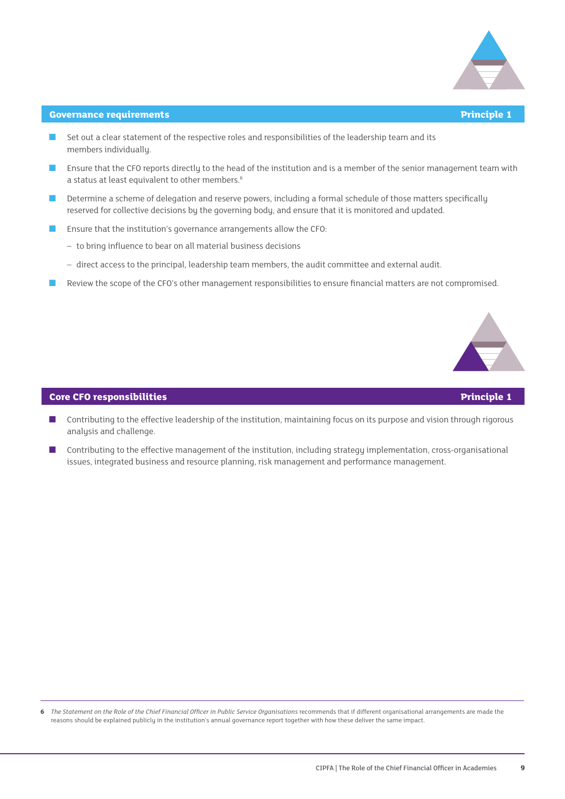

#### **Governance requirements Principle 1**

- Set out a clear statement of the respective roles and responsibilities of the leadership team and its members individually.
- Ensure that the CFO reports directly to the head of the institution and is a member of the senior management team with a status at least equivalent to other members.<sup>6</sup>
- Determine a scheme of delegation and reserve powers, including a formal schedule of those matters specifically reserved for collective decisions by the governing body, and ensure that it is monitored and updated.
- Ensure that the institution's governance arrangements allow the CFO:
	- to bring influence to bear on all material business decisions
	- direct access to the principal, leadership team members, the audit committee and external audit.
- Review the scope of the CFO's other management responsibilities to ensure financial matters are not compromised.



#### **Core CFO responsibilities Principle 1**

- Contributing to the effective leadership of the institution, maintaining focus on its purpose and vision through rigorous analysis and challenge.
- Contributing to the effective management of the institution, including strategy implementation, cross-organisational issues, integrated business and resource planning, risk management and performance management.

**<sup>6</sup>** *The Statement on the Role of the Chief Financial Officer in Public Service Organisations* recommends that if different organisational arrangements are made the reasons should be explained publicly in the institution's annual governance report together with how these deliver the same impact.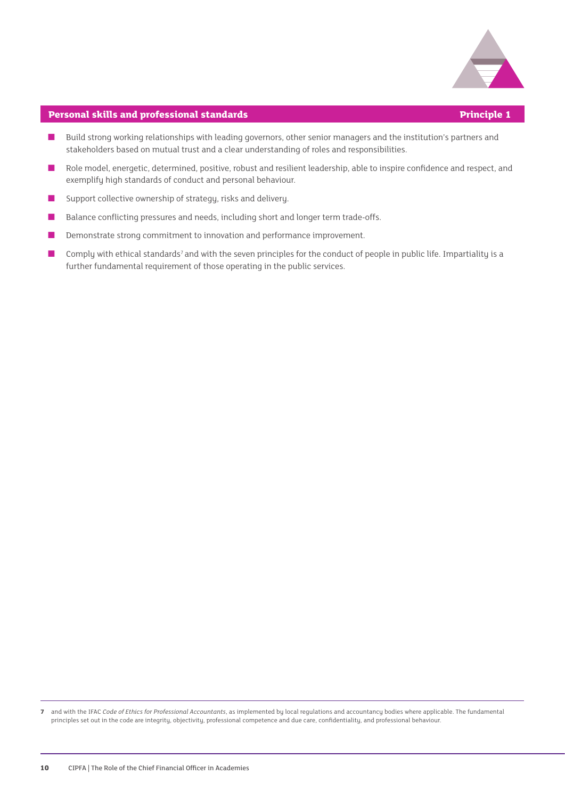

#### **Personal skills and professional standards Principle 1**

- Build strong working relationships with leading governors, other senior managers and the institution's partners and stakeholders based on mutual trust and a clear understanding of roles and responsibilities.
- Role model, energetic, determined, positive, robust and resilient leadership, able to inspire confidence and respect, and exemplify high standards of conduct and personal behaviour.
- Support collective ownership of strategy, risks and delivery.
- Balance conflicting pressures and needs, including short and longer term trade-offs.
- Demonstrate strong commitment to innovation and performance improvement.
- Comply with ethical standards<sup>7</sup> and with the seven principles for the conduct of people in public life. Impartiality is a further fundamental requirement of those operating in the public services.

**7** and with the IFAC *Code of Ethics for Professional Accountants*, as implemented by local regulations and accountancy bodies where applicable. The fundamental principles set out in the code are integrity, objectivity, professional competence and due care, confidentiality, and professional behaviour.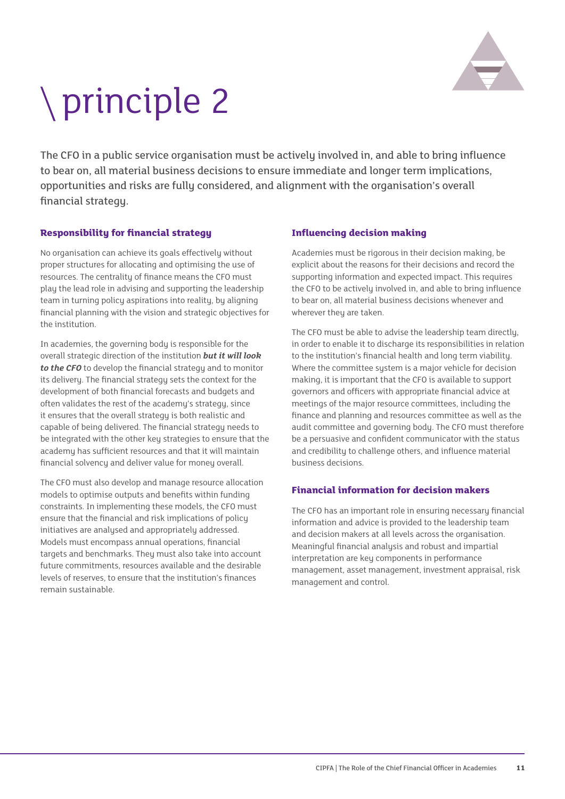

# principle 2

The CFO in a public service organisation must be actively involved in, and able to bring influence to bear on, all material business decisions to ensure immediate and longer term implications, opportunities and risks are fully considered, and alignment with the organisation's overall financial strategy.

#### **Responsibility for financial strategy**

No organisation can achieve its goals effectively without proper structures for allocating and optimising the use of resources. The centrality of finance means the CFO must play the lead role in advising and supporting the leadership team in turning policy aspirations into reality, by aligning financial planning with the vision and strategic objectives for the institution.

In academies, the governing body is responsible for the overall strategic direction of the institution *but it will look to the CFO* to develop the financial strategy and to monitor its delivery. The financial strategy sets the context for the development of both financial forecasts and budgets and often validates the rest of the academy's strategy, since it ensures that the overall strategy is both realistic and capable of being delivered. The financial strategy needs to be integrated with the other key strategies to ensure that the academy has sufficient resources and that it will maintain financial solvency and deliver value for money overall.

The CFO must also develop and manage resource allocation models to optimise outputs and benefits within funding constraints. In implementing these models, the CFO must ensure that the financial and risk implications of policy initiatives are analysed and appropriately addressed. Models must encompass annual operations, financial targets and benchmarks. They must also take into account future commitments, resources available and the desirable levels of reserves, to ensure that the institution's finances remain sustainable.

#### **Influencing decision making**

Academies must be rigorous in their decision making, be explicit about the reasons for their decisions and record the supporting information and expected impact. This requires the CFO to be actively involved in, and able to bring influence to bear on, all material business decisions whenever and wherever they are taken.

The CFO must be able to advise the leadership team directly, in order to enable it to discharge its responsibilities in relation to the institution's financial health and long term viability. Where the committee system is a major vehicle for decision making, it is important that the CFO is available to support governors and officers with appropriate financial advice at meetings of the major resource committees, including the finance and planning and resources committee as well as the audit committee and governing body. The CFO must therefore be a persuasive and confident communicator with the status and credibility to challenge others, and influence material business decisions.

#### **Financial information for decision makers**

The CFO has an important role in ensuring necessary financial information and advice is provided to the leadership team and decision makers at all levels across the organisation. Meaningful financial analysis and robust and impartial interpretation are key components in performance management, asset management, investment appraisal, risk management and control.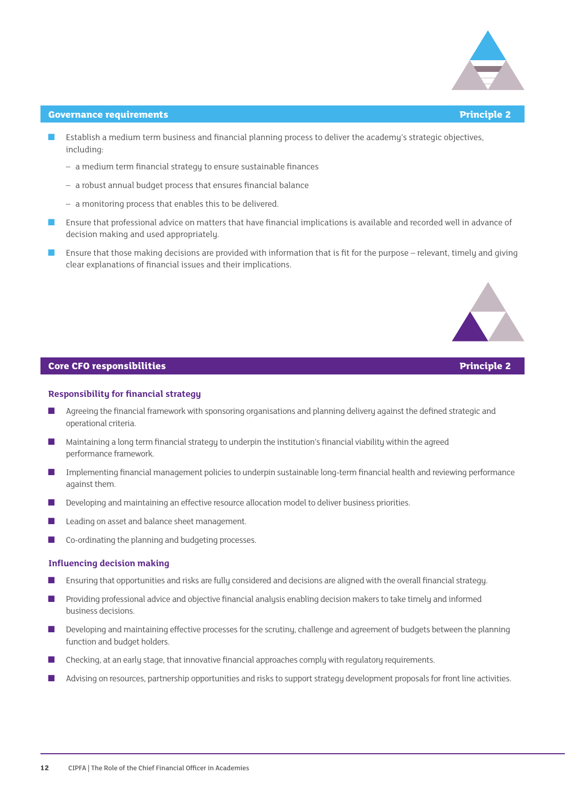

#### **Governance requirements Principle 2**

- Establish a medium term business and financial planning process to deliver the academy's strategic objectives, including:
	- a medium term financial strategy to ensure sustainable finances
	- a robust annual budget process that ensures financial balance
	- a monitoring process that enables this to be delivered.
- Ensure that professional advice on matters that have financial implications is available and recorded well in advance of decision making and used appropriately.
- Ensure that those making decisions are provided with information that is fit for the purpose relevant, timely and giving clear explanations of financial issues and their implications.



#### **Core CFO responsibilities Principle 2**

#### **Responsibility for financial strategy**

- Agreeing the financial framework with sponsoring organisations and planning delivery against the defined strategic and operational criteria.
- Maintaining a long term financial strategy to underpin the institution's financial viability within the agreed performance framework.
- Implementing financial management policies to underpin sustainable long-term financial health and reviewing performance against them.
- Developing and maintaining an effective resource allocation model to deliver business priorities.
- Leading on asset and balance sheet management.
- Co-ordinating the planning and budgeting processes.

#### **Influencing decision making**

- Ensuring that opportunities and risks are fully considered and decisions are aligned with the overall financial strategy.
- Providing professional advice and objective financial analysis enabling decision makers to take timely and informed business decisions.
- Developing and maintaining effective processes for the scrutiny, challenge and agreement of budgets between the planning function and budget holders.
- Checking, at an early stage, that innovative financial approaches comply with regulatory requirements.
- Advising on resources, partnership opportunities and risks to support strategy development proposals for front line activities.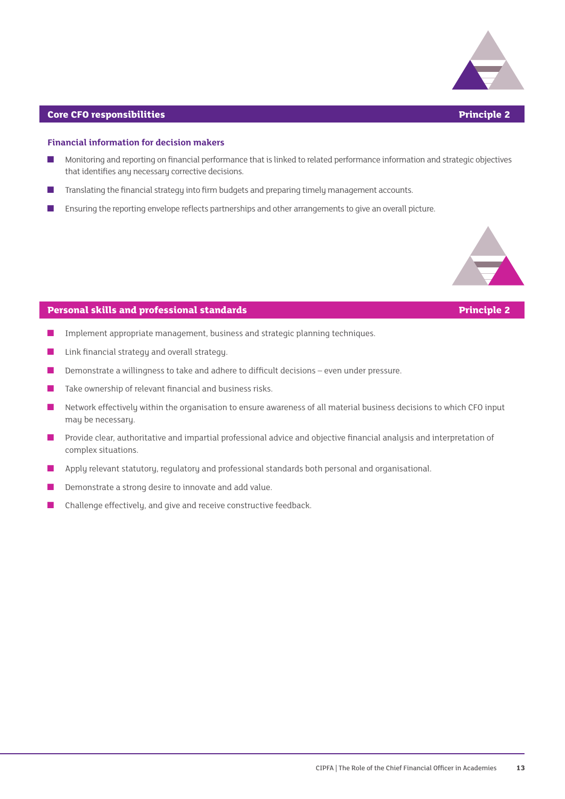

#### **Core CFO responsibilities Principle 2**

#### **Financial information for decision makers**

- Monitoring and reporting on financial performance that is linked to related performance information and strategic objectives that identifies any necessary corrective decisions.
- Translating the financial strategy into firm budgets and preparing timely management accounts.
- Ensuring the reporting envelope reflects partnerships and other arrangements to give an overall picture.



#### **Personal skills and professional standards Principle 2**

- Implement appropriate management, business and strategic planning techniques.
- Link financial strategy and overall strategy.
- Demonstrate a willingness to take and adhere to difficult decisions even under pressure.
- Take ownership of relevant financial and business risks.
- Network effectively within the organisation to ensure awareness of all material business decisions to which CFO input may be necessary.
- Provide clear, authoritative and impartial professional advice and objective financial analysis and interpretation of complex situations.
- Apply relevant statutory, regulatory and professional standards both personal and organisational.
- Demonstrate a strong desire to innovate and add value.
- Challenge effectively, and give and receive constructive feedback.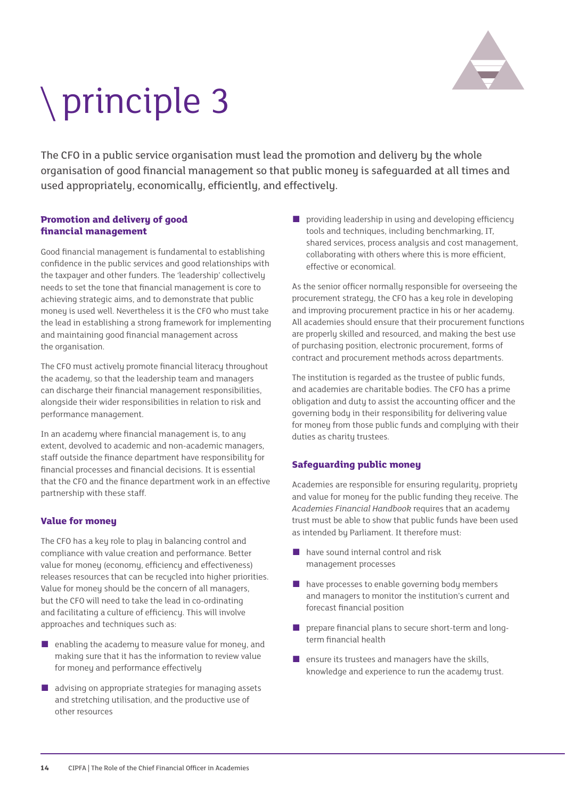

# principle 3

The CFO in a public service organisation must lead the promotion and delivery by the whole organisation of good financial management so that public money is safeguarded at all times and used appropriately, economically, efficiently, and effectively.

#### **Promotion and delivery of good financial management**

Good financial management is fundamental to establishing confidence in the public services and good relationships with the taxpayer and other funders. The 'leadership' collectively needs to set the tone that financial management is core to achieving strategic aims, and to demonstrate that public money is used well. Nevertheless it is the CFO who must take the lead in establishing a strong framework for implementing and maintaining good financial management across the organisation.

The CFO must actively promote financial literacy throughout the academy, so that the leadership team and managers can discharge their financial management responsibilities, alongside their wider responsibilities in relation to risk and performance management.

In an academy where financial management is, to any extent, devolved to academic and non-academic managers, staff outside the finance department have responsibility for financial processes and financial decisions. It is essential that the CFO and the finance department work in an effective partnership with these staff.

#### **Value for money**

The CFO has a key role to play in balancing control and compliance with value creation and performance. Better value for money (economy, efficiency and effectiveness) releases resources that can be recycled into higher priorities. Value for money should be the concern of all managers. but the CFO will need to take the lead in co-ordinating and facilitating a culture of efficiency. This will involve approaches and techniques such as:

- $\blacksquare$  enabling the academy to measure value for money, and making sure that it has the information to review value for money and performance effectively
- advising on appropriate strategies for managing assets and stretching utilisation, and the productive use of other resources

■ providing leadership in using and developing efficiency tools and techniques, including benchmarking, IT, shared services, process analysis and cost management, collaborating with others where this is more efficient, effective or economical.

As the senior officer normally responsible for overseeing the procurement strategy, the CFO has a key role in developing and improving procurement practice in his or her academy. All academies should ensure that their procurement functions are properly skilled and resourced, and making the best use of purchasing position, electronic procurement, forms of contract and procurement methods across departments.

The institution is regarded as the trustee of public funds, and academies are charitable bodies. The CFO has a prime obligation and duty to assist the accounting officer and the governing body in their responsibility for delivering value for money from those public funds and complying with their duties as charitu trustees.

#### **Safeguarding public money**

Academies are responsible for ensuring regularity, propriety and value for money for the public funding they receive. The *Academies Financial Handbook* requires that an academy trust must be able to show that public funds have been used as intended by Parliament. It therefore must:

- have sound internal control and risk management processes
- have processes to enable governing body members and managers to monitor the institution's current and forecast financial position
- prepare financial plans to secure short-term and longterm financial health
- ensure its trustees and managers have the skills, knowledge and experience to run the academy trust.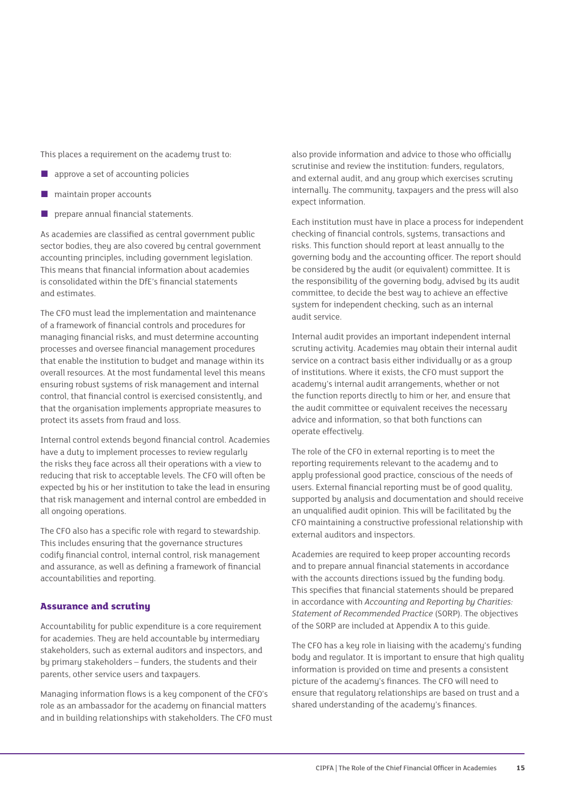This places a requirement on the academy trust to:

- approve a set of accounting policies
- maintain proper accounts
- prepare annual financial statements.

As academies are classified as central government public sector bodies, they are also covered by central government accounting principles, including government legislation. This means that financial information about academies is consolidated within the DfE's financial statements and estimates.

The CFO must lead the implementation and maintenance of a framework of financial controls and procedures for managing financial risks, and must determine accounting processes and oversee financial management procedures that enable the institution to budget and manage within its overall resources. At the most fundamental level this means ensuring robust systems of risk management and internal control, that financial control is exercised consistently, and that the organisation implements appropriate measures to protect its assets from fraud and loss.

Internal control extends beyond financial control. Academies have a duty to implement processes to review regularly the risks they face across all their operations with a view to reducing that risk to acceptable levels. The CFO will often be expected by his or her institution to take the lead in ensuring that risk management and internal control are embedded in all ongoing operations.

The CFO also has a specific role with regard to stewardship. This includes ensuring that the governance structures codify financial control, internal control, risk management and assurance, as well as defining a framework of financial accountabilities and reporting.

#### **Assurance and scrutiny**

Accountability for public expenditure is a core requirement for academies. They are held accountable by intermediary stakeholders, such as external auditors and inspectors, and by primary stakeholders – funders, the students and their parents, other service users and taxpayers.

Managing information flows is a key component of the CFO's role as an ambassador for the academy on financial matters and in building relationships with stakeholders. The CFO must also provide information and advice to those who officially scrutinise and review the institution: funders, regulators, and external audit, and any group which exercises scrutiny internally. The community, taxpayers and the press will also expect information.

Each institution must have in place a process for independent checking of financial controls, systems, transactions and risks. This function should report at least annually to the governing body and the accounting officer. The report should be considered by the audit (or equivalent) committee. It is the responsibility of the governing body, advised by its audit committee, to decide the best way to achieve an effective system for independent checking, such as an internal audit service.

Internal audit provides an important independent internal scrutiny activity. Academies may obtain their internal audit service on a contract basis either individually or as a group of institutions. Where it exists, the CFO must support the academy's internal audit arrangements, whether or not the function reports directly to him or her, and ensure that the audit committee or equivalent receives the necessary advice and information, so that both functions can operate effectively.

The role of the CFO in external reporting is to meet the reporting requirements relevant to the academy and to apply professional good practice, conscious of the needs of users. External financial reporting must be of good quality, supported by analysis and documentation and should receive an unqualified audit opinion. This will be facilitated by the CFO maintaining a constructive professional relationship with external auditors and inspectors.

Academies are required to keep proper accounting records and to prepare annual financial statements in accordance with the accounts directions issued by the funding body. This specifies that financial statements should be prepared in accordance with *Accounting and Reporting by Charities: Statement of Recommended Practice* (SORP). The objectives of the SORP are included at Appendix A to this guide.

The CFO has a key role in liaising with the academy's funding body and regulator. It is important to ensure that high quality information is provided on time and presents a consistent picture of the academy's finances. The CFO will need to ensure that regulatory relationships are based on trust and a shared understanding of the academy's finances.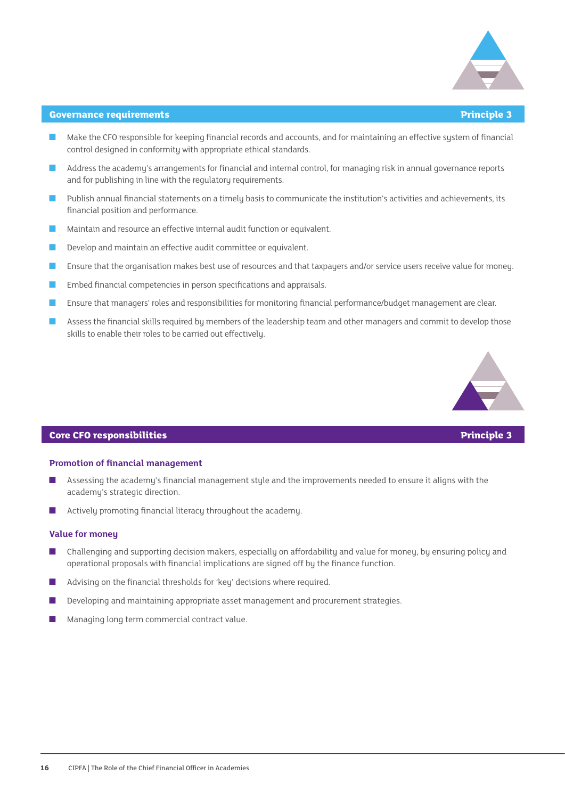

#### **Governance requirements Principle 3**

- Make the CFO responsible for keeping financial records and accounts, and for maintaining an effective system of financial control designed in conformity with appropriate ethical standards.
- Address the academy's arrangements for financial and internal control, for managing risk in annual governance reports and for publishing in line with the regulatory requirements.
- Publish annual financial statements on a timely basis to communicate the institution's activities and achievements, its financial position and performance.
- Maintain and resource an effective internal audit function or equivalent.
- Develop and maintain an effective audit committee or equivalent.
- Ensure that the organisation makes best use of resources and that taxpayers and/or service users receive value for money.
- Embed financial competencies in person specifications and appraisals.
- Ensure that managers' roles and responsibilities for monitoring financial performance/budget management are clear.
- Assess the financial skills required by members of the leadership team and other managers and commit to develop those skills to enable their roles to be carried out effectively.



#### **Core CFO responsibilities Principle 3**

#### **Promotion of financial management**

- Assessing the academy's financial management style and the improvements needed to ensure it aligns with the academy's strategic direction.
- Actively promoting financial literacy throughout the academy.

#### **Value for money**

- Challenging and supporting decision makers, especially on affordability and value for money, by ensuring policy and operational proposals with financial implications are signed off by the finance function.
- Advising on the financial thresholds for 'key' decisions where required.
- Developing and maintaining appropriate asset management and procurement strategies.
- Managing long term commercial contract value.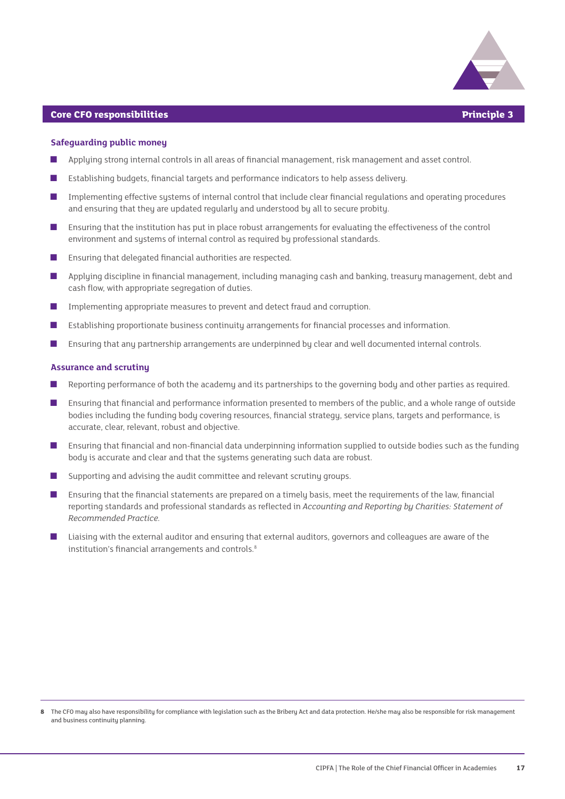

#### **Core CFO responsibilities Principle 3**

#### **Safeguarding public money**

- Applying strong internal controls in all areas of financial management, risk management and asset control.
- Establishing budgets, financial targets and performance indicators to help assess delivery.
- Implementing effective systems of internal control that include clear financial regulations and operating procedures and ensuring that they are updated regularly and understood by all to secure probity.
- Ensuring that the institution has put in place robust arrangements for evaluating the effectiveness of the control environment and systems of internal control as required by professional standards.
- Ensuring that delegated financial authorities are respected.
- Applying discipline in financial management, including managing cash and banking, treasury management, debt and cash flow, with appropriate segregation of duties.
- Implementing appropriate measures to prevent and detect fraud and corruption.
- Establishing proportionate business continuity arrangements for financial processes and information.
- Ensuring that any partnership arrangements are underpinned by clear and well documented internal controls.

#### **Assurance and scrutiny**

- Reporting performance of both the academy and its partnerships to the governing body and other parties as required.
- Ensuring that financial and performance information presented to members of the public, and a whole range of outside bodies including the funding body covering resources, financial strategy, service plans, targets and performance, is accurate, clear, relevant, robust and objective.
- Ensuring that financial and non-financial data underpinning information supplied to outside bodies such as the funding body is accurate and clear and that the systems generating such data are robust.
- Supporting and advising the audit committee and relevant scrutiny groups.
- Ensuring that the financial statements are prepared on a timely basis, meet the requirements of the law, financial reporting standards and professional standards as reflected in *Accounting and Reporting by Charities: Statement of Recommended Practice.*
- Liaising with the external auditor and ensuring that external auditors, governors and colleagues are aware of the institution's financial arrangements and controls.<sup>8</sup>

**<sup>8</sup>** The CFO may also have responsibility for compliance with legislation such as the Bribery Act and data protection. He/she may also be responsible for risk management and business continuity planning.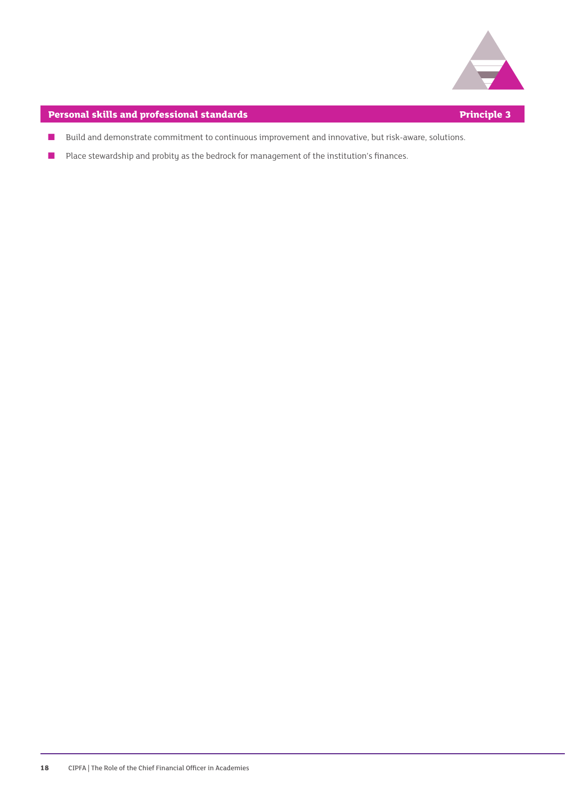

#### **Personal skills and professional standards Principle 3**

- Build and demonstrate commitment to continuous improvement and innovative, but risk-aware, solutions.
- Place stewardship and probity as the bedrock for management of the institution's finances.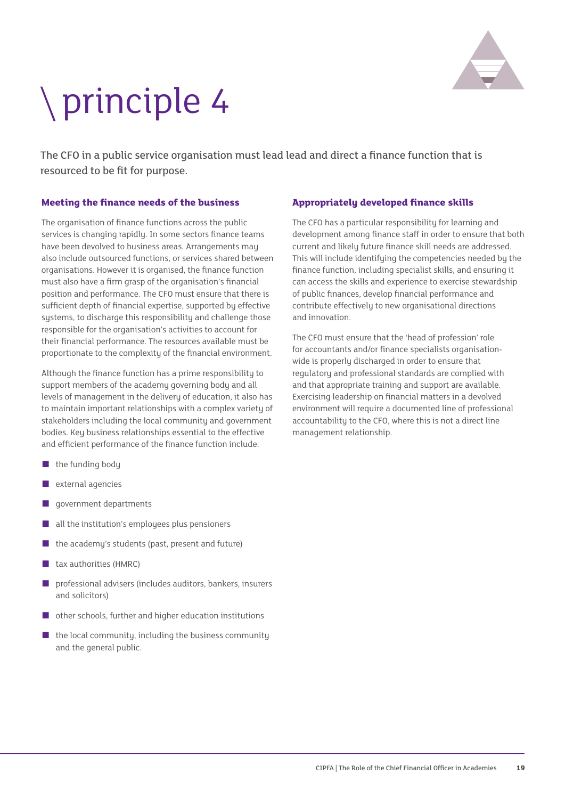

## principle 4

The CFO in a public service organisation must lead lead and direct a finance function that is resourced to be fit for purpose.

#### **Meeting the finance needs of the business**

The organisation of finance functions across the public services is changing rapidly. In some sectors finance teams have been devolved to business areas. Arrangements may also include outsourced functions, or services shared between organisations. However it is organised, the finance function must also have a firm grasp of the organisation's financial position and performance. The CFO must ensure that there is sufficient depth of financial expertise, supported by effective systems, to discharge this responsibility and challenge those responsible for the organisation's activities to account for their financial performance. The resources available must be proportionate to the complexity of the financial environment.

Although the finance function has a prime responsibility to support members of the academy governing body and all levels of management in the delivery of education, it also has to maintain important relationships with a complex variety of stakeholders including the local community and government bodies. Key business relationships essential to the effective and efficient performance of the finance function include:

- the funding body
- external agencies
- government departments
- all the institution's employees plus pensioners
- the academy's students (past, present and future)
- tax authorities (HMRC)
- professional advisers (includes auditors, bankers, insurers and solicitors)
- other schools, further and higher education institutions
- $\blacksquare$  the local community, including the business community and the general public.

#### **Appropriately developed finance skills**

The CFO has a particular responsibility for learning and development among finance staff in order to ensure that both current and likely future finance skill needs are addressed. This will include identifying the competencies needed by the finance function, including specialist skills, and ensuring it can access the skills and experience to exercise stewardship of public finances, develop financial performance and contribute effectively to new organisational directions and innovation.

The CFO must ensure that the 'head of profession' role for accountants and/or finance specialists organisationwide is properly discharged in order to ensure that regulatory and professional standards are complied with and that appropriate training and support are available. Exercising leadership on financial matters in a devolved environment will require a documented line of professional accountability to the CFO, where this is not a direct line management relationship.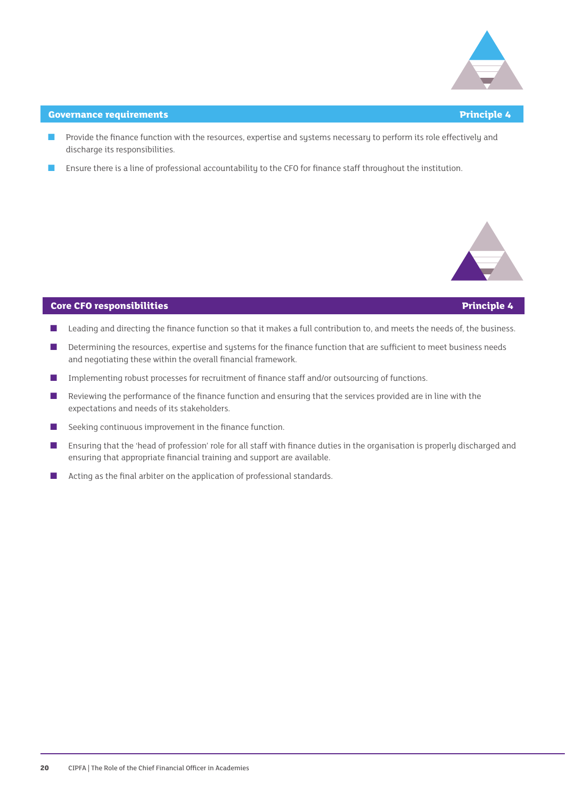

#### **Covernance requirements Principle 4**

- Provide the finance function with the resources, expertise and systems necessary to perform its role effectively and discharge its responsibilities.
- Ensure there is a line of professional accountability to the CFO for finance staff throughout the institution.



#### **Core CFO responsibilities Principle 4**

- Leading and directing the finance function so that it makes a full contribution to, and meets the needs of, the business.
- Determining the resources, expertise and systems for the finance function that are sufficient to meet business needs and negotiating these within the overall financial framework.
- Implementing robust processes for recruitment of finance staff and/or outsourcing of functions.
- Reviewing the performance of the finance function and ensuring that the services provided are in line with the expectations and needs of its stakeholders.
- Seeking continuous improvement in the finance function.
- Ensuring that the 'head of profession' role for all staff with finance duties in the organisation is properly discharged and ensuring that appropriate financial training and support are available.
- Acting as the final arbiter on the application of professional standards.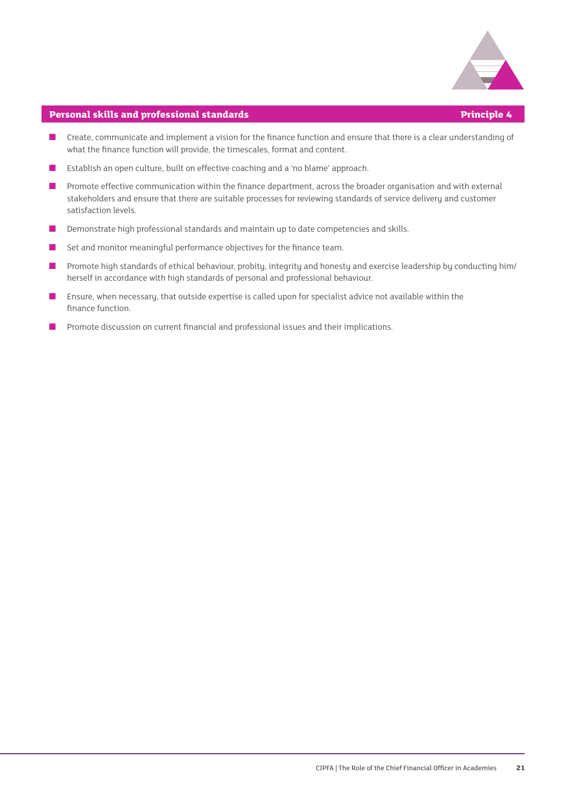

#### **Personal skills and professional standards Principle 4**

- Create, communicate and implement a vision for the finance function and ensure that there is a clear understanding of what the finance function will provide, the timescales, format and content.
- Establish an open culture, built on effective coaching and a 'no blame' approach.
- Promote effective communication within the finance department, across the broader organisation and with external stakeholders and ensure that there are suitable processes for reviewing standards of service delivery and customer satisfaction levels.
- Demonstrate high professional standards and maintain up to date competencies and skills.
- Set and monitor meaningful performance objectives for the finance team.
- Promote high standards of ethical behaviour, probity, integrity and honesty and exercise leadership by conducting him/ herself in accordance with high standards of personal and professional behaviour.
- Ensure, when necessary, that outside expertise is called upon for specialist advice not available within the finance function.
- Promote discussion on current financial and professional issues and their implications.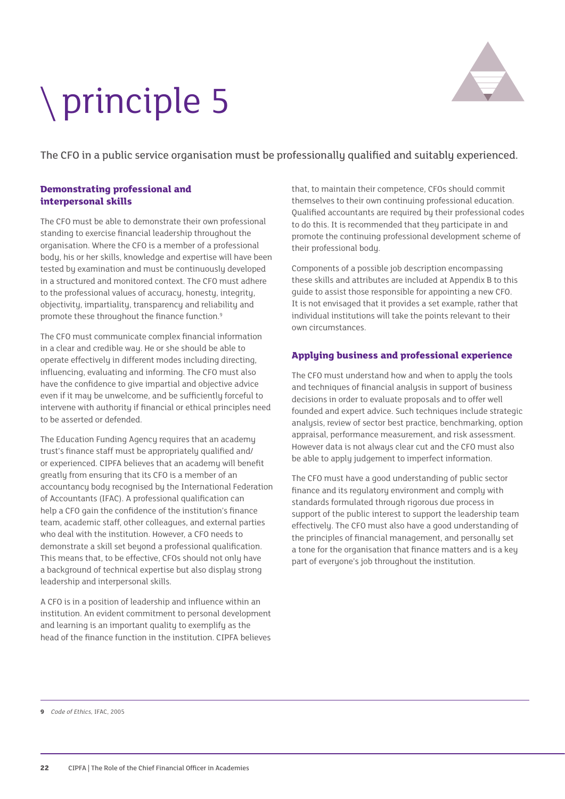### principle 5



The CFO in a public service organisation must be professionally qualified and suitably experienced.

#### **Demonstrating professional and interpersonal skills**

The CFO must be able to demonstrate their own professional standing to exercise financial leadership throughout the organisation. Where the CFO is a member of a professional body, his or her skills, knowledge and expertise will have been tested by examination and must be continuously developed in a structured and monitored context. The CFO must adhere to the professional values of accuracy, honesty, integrity, objectivity, impartiality, transparency and reliability and promote these throughout the finance function.<sup>9</sup>

The CFO must communicate complex financial information in a clear and credible way. He or she should be able to operate effectively in different modes including directing, influencing, evaluating and informing. The CFO must also have the confidence to give impartial and objective advice even if it may be unwelcome, and be sufficiently forceful to intervene with authority if financial or ethical principles need to be asserted or defended.

The Education Funding Agency requires that an academy trust's finance staff must be appropriately qualified and/ or experienced. CIPFA believes that an academy will benefit greatly from ensuring that its CFO is a member of an accountancy body recognised by the International Federation of Accountants (IFAC). A professional qualification can help a CFO gain the confidence of the institution's finance team, academic staff, other colleagues, and external parties who deal with the institution. However, a CFO needs to demonstrate a skill set beyond a professional qualification. This means that, to be effective, CFOs should not only have a background of technical expertise but also display strong leadership and interpersonal skills.

A CFO is in a position of leadership and influence within an institution. An evident commitment to personal development and learning is an important quality to exemplify as the head of the finance function in the institution. CIPFA believes

that, to maintain their competence, CFOs should commit themselves to their own continuing professional education. Qualified accountants are required by their professional codes to do this. It is recommended that they participate in and promote the continuing professional development scheme of their professional body.

Components of a possible job description encompassing these skills and attributes are included at Appendix B to this guide to assist those responsible for appointing a new CFO. It is not envisaged that it provides a set example, rather that individual institutions will take the points relevant to their own circumstances.

#### **Applying business and professional experience**

The CFO must understand how and when to apply the tools and techniques of financial analysis in support of business decisions in order to evaluate proposals and to offer well founded and expert advice. Such techniques include strategic analysis, review of sector best practice, benchmarking, option appraisal, performance measurement, and risk assessment. However data is not always clear cut and the CFO must also be able to apply judgement to imperfect information.

The CFO must have a good understanding of public sector finance and its regulatory environment and comply with standards formulated through rigorous due process in support of the public interest to support the leadership team effectively. The CFO must also have a good understanding of the principles of financial management, and personally set a tone for the organisation that finance matters and is a key part of everyone's job throughout the institution.

**<sup>9</sup>** *Code of Ethics,* IFAC, 2005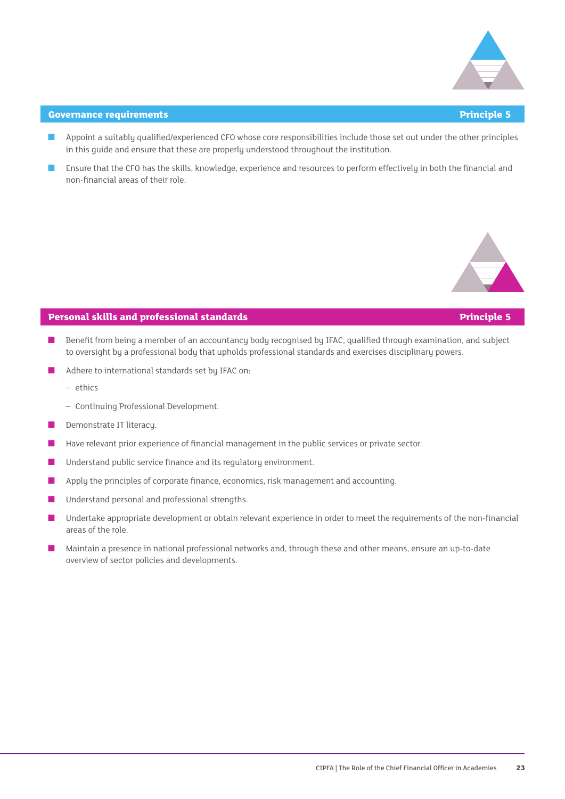

#### **Governance requirements Principle 5**

- Appoint a suitably qualified/experienced CFO whose core responsibilities include those set out under the other principles in this guide and ensure that these are properly understood throughout the institution.
- Ensure that the CFO has the skills, knowledge, experience and resources to perform effectively in both the financial and non-financial areas of their role.



#### **Personal skills and professional standards Principle 5**

- Benefit from being a member of an accountancy body recognised by IFAC, qualified through examination, and subject to oversight by a professional body that upholds professional standards and exercises disciplinary powers.
- Adhere to international standards set by IFAC on:
	- ethics
	- Continuing Professional Development.
- Demonstrate IT literacy.
- Have relevant prior experience of financial management in the public services or private sector.
- Understand public service finance and its regulatory environment.
- Apply the principles of corporate finance, economics, risk management and accounting.
- Understand personal and professional strengths.
- Undertake appropriate development or obtain relevant experience in order to meet the requirements of the non-financial areas of the role.
- Maintain a presence in national professional networks and, through these and other means, ensure an up-to-date overview of sector policies and developments.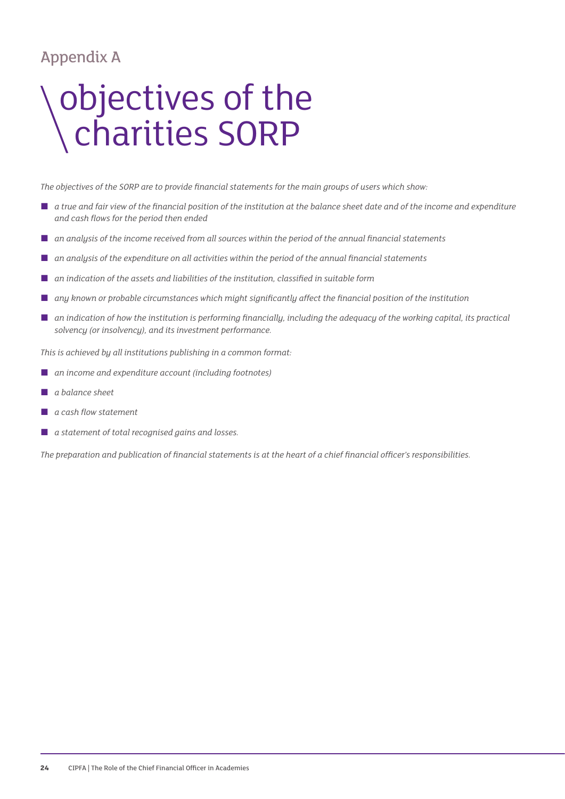#### Appendix A

### objectives of the charities SORP

*The objectives of the SORP are to provide financial statements for the main groups of users which show:*

- *a true and fair view of the financial position of the institution at the balance sheet date and of the income and expenditure and cash flows for the period then ended*
- *an analysis of the income received from all sources within the period of the annual financial statements*
- an analysis of the expenditure on all activities within the period of the annual financial statements
- *an indication of the assets and liabilities of the institution, classified in suitable form*
- *any known or probable circumstances which might significantly affect the financial position of the institution*
- *an indication of how the institution is performing financially, including the adequacy of the working capital, its practical solvency (or insolvency), and its investment performance.*

*This is achieved by all institutions publishing in a common format:*

- *an income and expenditure account (including footnotes)*
- *a balance sheet*
- *a cash flow statement*
- *a statement of total recognised gains and losses.*

*The preparation and publication of financial statements is at the heart of a chief financial officer's responsibilities.*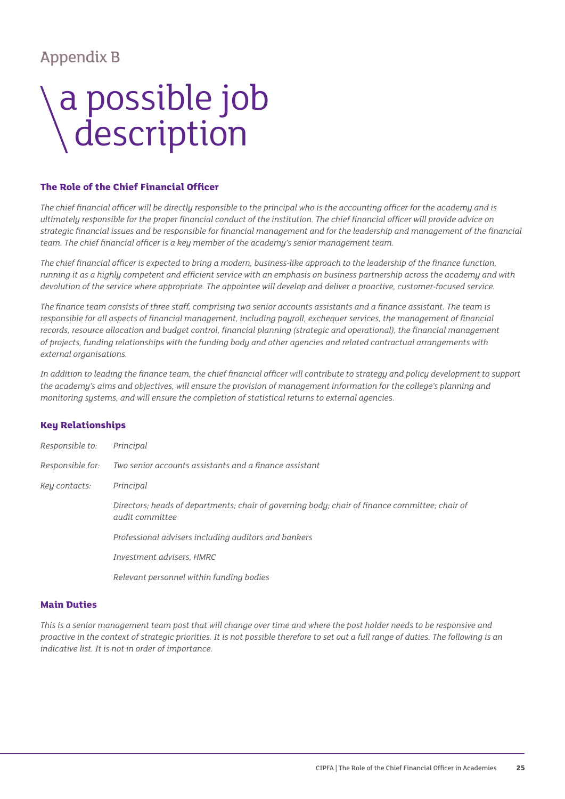#### Appendix B

### a possible job **description**

#### **The Role of the Chief Financial Officer**

*The chief financial officer will be directly responsible to the principal who is the accounting officer for the academy and is ultimately responsible for the proper financial conduct of the institution. The chief financial officer will provide advice on strategic financial issues and be responsible for financial management and for the leadership and management of the financial team. The chief financial officer is a key member of the academy's senior management team.*

*The chief financial officer is expected to bring a modern, business-like approach to the leadership of the finance function, running it as a highly competent and efficient service with an emphasis on business partnership across the academy and with devolution of the service where appropriate. The appointee will develop and deliver a proactive, customer-focused service.* 

*The finance team consists of three staff, comprising two senior accounts assistants and a finance assistant. The team is responsible for all aspects of financial management, including payroll, exchequer services, the management of financial records, resource allocation and budget control, financial planning (strategic and operational), the financial management of projects, funding relationships with the funding body and other agencies and related contractual arrangements with external organisations.*

*In addition to leading the finance team, the chief financial officer will contribute to strategy and policy development to support the academy's aims and objectives, will ensure the provision of management information for the college's planning and monitoring systems, and will ensure the completion of statistical returns to external agencie*s.

#### **Key Relationships**

| Responsible to:  | Principal                                                                                                                |
|------------------|--------------------------------------------------------------------------------------------------------------------------|
| Responsible for: | Two senior accounts assistants and a finance assistant                                                                   |
| Key contacts:    | Principal                                                                                                                |
|                  | Directors; heads of departments; chair of governing body; chair of finance committee; chair of<br><i>audit committee</i> |
|                  | Professional advisers including auditors and bankers                                                                     |
|                  | Investment advisers, HMRC                                                                                                |
|                  | Relevant personnel within funding bodies                                                                                 |

#### **Main Duties**

*This is a senior management team post that will change over time and where the post holder needs to be responsive and proactive in the context of strategic priorities. It is not possible therefore to set out a full range of duties. The following is an indicative list. It is not in order of importance.*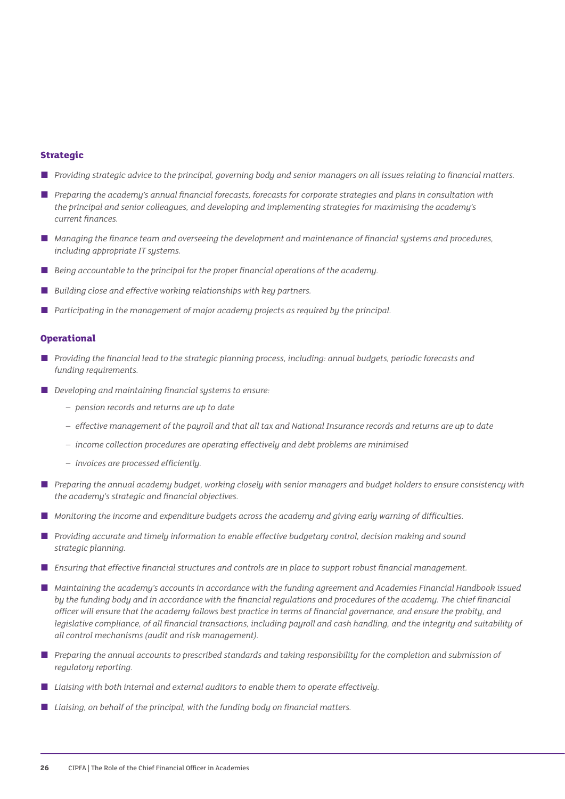#### **Strategic**

- *Providing strategic advice to the principal, governing body and senior managers on all issues relating to financial matters.*
- *Preparing the academy's annual financial forecasts, forecasts for corporate strategies and plans in consultation with the principal and senior colleagues, and developing and implementing strategies for maximising the academy's current finances.*
- *Managing the finance team and overseeing the development and maintenance of financial systems and procedures, including appropriate IT systems.*
- *Being accountable to the principal for the proper financial operations of the academy.*
- Building close and effective working relationships with key partners.
- Participating in the management of major academy projects as required by the principal.

#### **Operational**

- *Providing the financial lead to the strategic planning process, including: annual budgets, periodic forecasts and funding requirements.*
- *Developing and maintaining financial systems to ensure:* 
	- *– pension records and returns are up to date*
	- *– effective management of the payroll and that all tax and National Insurance records and returns are up to date*
	- *– income collection procedures are operating effectively and debt problems are minimised*
	- *– invoices are processed efficiently.*
- *Preparing the annual academy budget, working closely with senior managers and budget holders to ensure consistency with the academy's strategic and financial objectives.*
- *Monitoring the income and expenditure budgets across the academy and giving early warning of difficulties.*
- *Providing accurate and timely information to enable effective budgetary control, decision making and sound strategic planning.*
- *Ensuring that effective financial structures and controls are in place to support robust financial management.*
- *Maintaining the academy's accounts in accordance with the funding agreement and Academies Financial Handbook issued by the funding body and in accordance with the financial regulations and procedures of the academy. The chief financial officer will ensure that the academy follows best practice in terms of financial governance, and ensure the probity, and*  legislative compliance, of all financial transactions, including payroll and cash handling, and the integrity and suitability of *all control mechanisms (audit and risk management).*
- *Preparing the annual accounts to prescribed standards and taking responsibility for the completion and submission of regulatory reporting.*
- *Liaising with both internal and external auditors to enable them to operate effectively.*
- *Liaising, on behalf of the principal, with the funding body on financial matters.*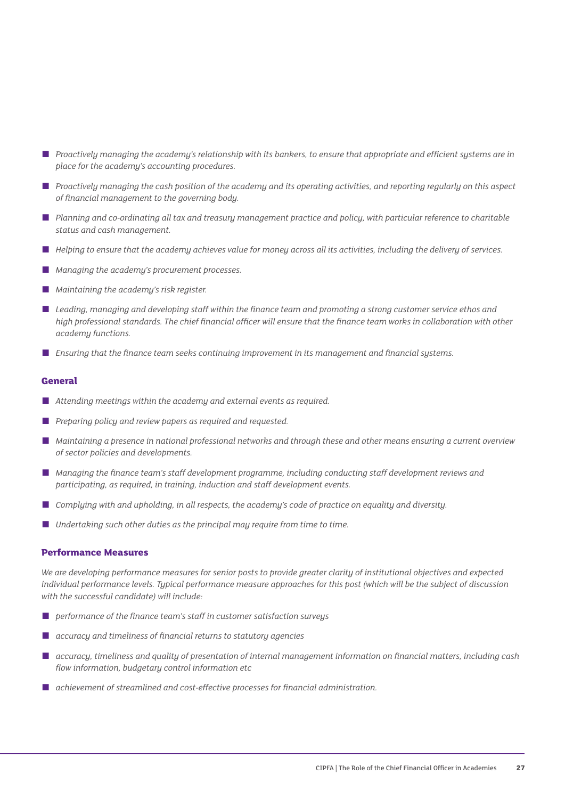- *Proactively managing the academy's relationship with its bankers, to ensure that appropriate and efficient systems are in place for the academy's accounting procedures.*
- *Proactively managing the cash position of the academy and its operating activities, and reporting regularly on this aspect of financial management to the governing body.*
- *Planning and co-ordinating all tax and treasury management practice and policy, with particular reference to charitable status and cash management.*
- *Helping to ensure that the academy achieves value for money across all its activities, including the delivery of services.*
- *Managing the academy's procurement processes.*
- *Maintaining the academy's risk register.*
- Leading, managing and developing staff within the finance team and promoting a strong customer service ethos and *high professional standards. The chief financial officer will ensure that the finance team works in collaboration with other academy functions.*
- *Ensuring that the finance team seeks continuing improvement in its management and financial systems.*

#### **General**

- *Attending meetings within the academy and external events as required.*
- *Preparing policy and review papers as required and requested.*
- *Maintaining a presence in national professional networks and through these and other means ensuring a current overview of sector policies and developments.*
- *Managing the finance team's staff development programme, including conducting staff development reviews and participating, as required, in training, induction and staff development events.*
- *Complying with and upholding, in all respects, the academy's code of practice on equality and diversity.*
- *Undertaking such other duties as the principal may require from time to time.*

#### **Performance Measures**

*We are developing performance measures for senior posts to provide greater clarity of institutional objectives and expected individual performance levels. Typical performance measure approaches for this post (which will be the subject of discussion with the successful candidate) will include:*

- *performance of the finance team's staff in customer satisfaction surveys*
- *accuracy and timeliness of financial returns to statutory agencies*
- *accuracy, timeliness and quality of presentation of internal management information on financial matters, including cash flow information, budgetary control information etc*
- *achievement of streamlined and cost-effective processes for financial administration.*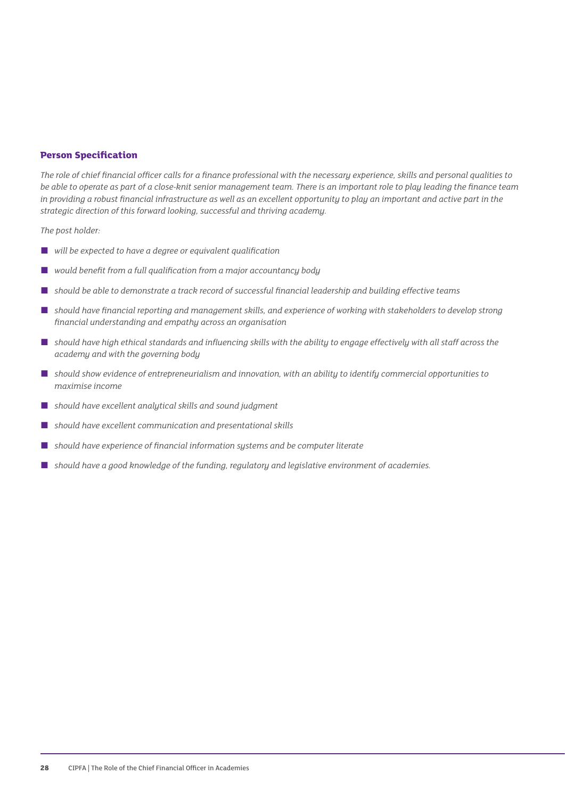#### **Person Specification**

*The role of chief financial officer calls for a finance professional with the necessary experience, skills and personal qualities to be able to operate as part of a close-knit senior management team. There is an important role to play leading the finance team in providing a robust financial infrastructure as well as an excellent opportunity to play an important and active part in the strategic direction of this forward looking, successful and thriving academy.*

*The post holder:* 

- *will be expected to have a degree or equivalent qualification*
- would benefit from a full qualification from a major accountancy body
- should be able to demonstrate a track record of successful financial leadership and building effective teams
- should have financial reporting and management skills, and experience of working with stakeholders to develop strong *financial understanding and empathy across an organisation*
- *should have high ethical standards and influencing skills with the ability to engage effectively with all staff across the academy and with the governing body*
- *should show evidence of entrepreneurialism and innovation, with an ability to identify commercial opportunities to maximise income*
- *should have excellent analytical skills and sound judgment*
- should have excellent communication and presentational skills
- should have experience of financial information systems and be computer literate
- should have a good knowledge of the funding, regulatory and legislative environment of academies.